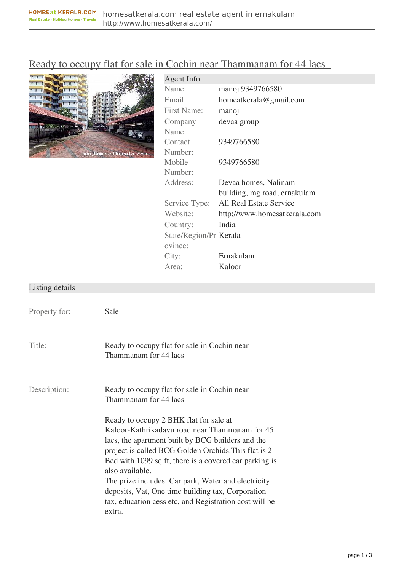## [Ready to occupy flat for sale in Cochin near Thammanam for 44 lacs](http://www.homesatkerala.com/properties/flat-apartments/ready-to-occupy-flat-for-sale-in-cochin-near-thammanam-for-44-lacs-120.html)



| Agent Info             |                              |
|------------------------|------------------------------|
| Name:                  | manoj 9349766580             |
| Email:                 | homeatkerala@gmail.com       |
| <b>First Name:</b>     | manoj                        |
| Company                | devaa group                  |
| Name:                  |                              |
| Contact                | 9349766580                   |
| Number:                |                              |
| Mobile                 | 9349766580                   |
| Number:                |                              |
| Address:               | Devaa homes, Nalinam         |
|                        | building, mg road, ernakulam |
| Service Type:          | All Real Estate Service      |
| Website:               | http://www.homesatkerala.com |
| Country:               | India                        |
| State/Region/Pr Kerala |                              |
| ovince:                |                              |
| City:                  | Ernakulam                    |
| Area:                  | Kaloor                       |
|                        |                              |

## Listing details

| Property for: | Sale                                                                                                                                                                                                                                                                                                                                                                                                                                                                                                                              |
|---------------|-----------------------------------------------------------------------------------------------------------------------------------------------------------------------------------------------------------------------------------------------------------------------------------------------------------------------------------------------------------------------------------------------------------------------------------------------------------------------------------------------------------------------------------|
| Title:        | Ready to occupy flat for sale in Cochin near<br>Thammanam for 44 lacs                                                                                                                                                                                                                                                                                                                                                                                                                                                             |
| Description:  | Ready to occupy flat for sale in Cochin near<br>Thammanam for 44 lacs<br>Ready to occupy 2 BHK flat for sale at<br>Kaloor-Kathrikadavu road near Thammanam for 45<br>lacs, the apartment built by BCG builders and the<br>project is called BCG Golden Orchids. This flat is 2<br>Bed with 1099 sq ft, there is a covered car parking is<br>also available.<br>The prize includes: Car park, Water and electricity<br>deposits, Vat, One time building tax, Corporation<br>tax, education cess etc, and Registration cost will be |
|               | extra.                                                                                                                                                                                                                                                                                                                                                                                                                                                                                                                            |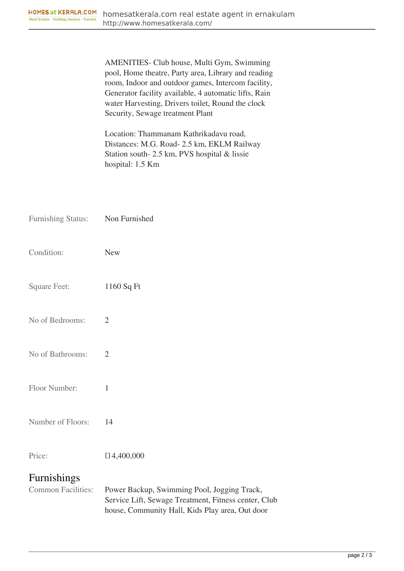AMENITIES- Club house, Multi Gym, Swimming pool, Home theatre, Party area, Library and reading room, Indoor and outdoor games, Intercom facility, Generator facility available, 4 automatic lifts, Rain water Harvesting, Drivers toilet, Round the clock Security, Sewage treatment Plant

Location: Thammanam Kathrikadavu road, Distances: M.G. Road- 2.5 km, EKLM Railway Station south- 2.5 km, PVS hospital & lissie hospital: 1.5 Km

| <b>Furnishing Status:</b> | Non Furnished                                                                                                                                          |
|---------------------------|--------------------------------------------------------------------------------------------------------------------------------------------------------|
| Condition:                | <b>New</b>                                                                                                                                             |
| <b>Square Feet:</b>       | 1160 Sq Ft                                                                                                                                             |
| No of Bedrooms:           | $\overline{2}$                                                                                                                                         |
| No of Bathrooms:          | $\overline{2}$                                                                                                                                         |
| Floor Number:             | 1                                                                                                                                                      |
| Number of Floors:         | 14                                                                                                                                                     |
| Price:                    | $\Box$ 4,400,000                                                                                                                                       |
| Furnishings               |                                                                                                                                                        |
| <b>Common Facilities:</b> | Power Backup, Swimming Pool, Jogging Track,<br>Service Lift, Sewage Treatment, Fitness center, Club<br>house, Community Hall, Kids Play area, Out door |